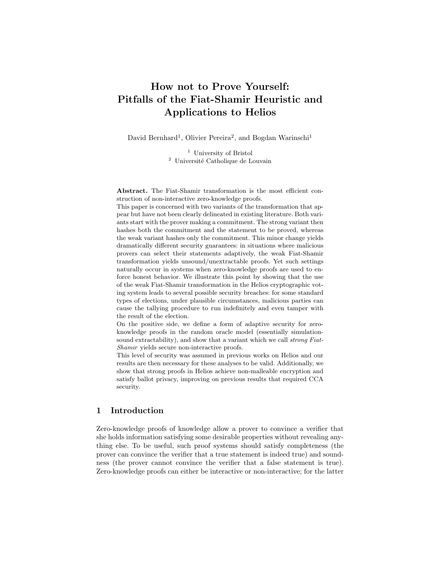# How not to Prove Yourself: Pitfalls of the Fiat-Shamir Heuristic and Applications to Helios

David Bernhard<sup>1</sup>, Olivier Pereira<sup>2</sup>, and Bogdan Warinschi<sup>1</sup>

<sup>1</sup> University of Bristol  $^2$ Université Catholique de Louvain

Abstract. The Fiat-Shamir transformation is the most efficient construction of non-interactive zero-knowledge proofs.

This paper is concerned with two variants of the transformation that appear but have not been clearly delineated in existing literature. Both variants start with the prover making a commitment. The strong variant then hashes both the commitment and the statement to be proved, whereas the weak variant hashes only the commitment. This minor change yields dramatically different security guarantees: in situations where malicious provers can select their statements adaptively, the weak Fiat-Shamir transformation yields unsound/unextractable proofs. Yet such settings naturally occur in systems when zero-knowledge proofs are used to enforce honest behavior. We illustrate this point by showing that the use of the weak Fiat-Shamir transformation in the Helios cryptographic voting system leads to several possible security breaches: for some standard types of elections, under plausible circumstances, malicious parties can cause the tallying procedure to run indefinitely and even tamper with the result of the election.

On the positive side, we define a form of adaptive security for zeroknowledge proofs in the random oracle model (essentially simulationsound extractability), and show that a variant which we call *strong Fiat*-Shamir yields secure non-interactive proofs.

This level of security was assumed in previous works on Helios and our results are then necessary for these analyses to be valid. Additionally, we show that strong proofs in Helios achieve non-malleable encryption and satisfy ballot privacy, improving on previous results that required CCA security.

# 1 Introduction

Zero-knowledge proofs of knowledge allow a prover to convince a verifier that she holds information satisfying some desirable properties without revealing anything else. To be useful, such proof systems should satisfy completeness (the prover can convince the verifier that a true statement is indeed true) and soundness (the prover cannot convince the verifier that a false statement is true). Zero-knowledge proofs can either be interactive or non-interactive; for the latter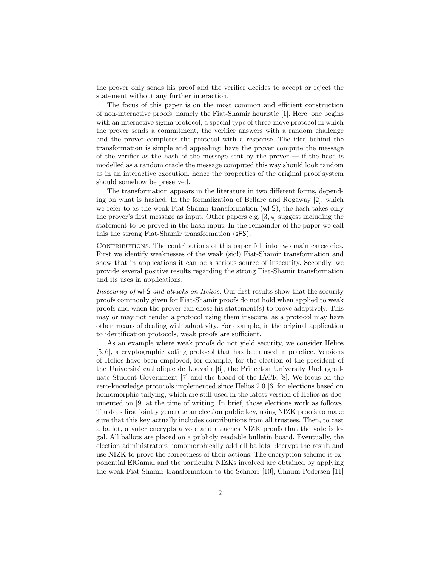the prover only sends his proof and the verifier decides to accept or reject the statement without any further interaction.

The focus of this paper is on the most common and efficient construction of non-interactive proofs, namely the Fiat-Shamir heuristic [1]. Here, one begins with an interactive sigma protocol, a special type of three-move protocol in which the prover sends a commitment, the verifier answers with a random challenge and the prover completes the protocol with a response. The idea behind the transformation is simple and appealing: have the prover compute the message of the verifier as the hash of the message sent by the prover — if the hash is modelled as a random oracle the message computed this way should look random as in an interactive execution, hence the properties of the original proof system should somehow be preserved.

The transformation appears in the literature in two different forms, depending on what is hashed. In the formalization of Bellare and Rogaway [2], which we refer to as the weak Fiat-Shamir transformation (wFS), the hash takes only the prover's first message as input. Other papers e.g.  $[3, 4]$  suggest including the statement to be proved in the hash input. In the remainder of the paper we call this the strong Fiat-Shamir transformation (sFS).

CONTRIBUTIONS. The contributions of this paper fall into two main categories. First we identify weaknesses of the weak (sic!) Fiat-Shamir transformation and show that in applications it can be a serious source of insecurity. Secondly, we provide several positive results regarding the strong Fiat-Shamir transformation and its uses in applications.

Insecurity of wFS and attacks on Helios. Our first results show that the security proofs commonly given for Fiat-Shamir proofs do not hold when applied to weak proofs and when the prover can chose his statement(s) to prove adaptively. This may or may not render a protocol using them insecure, as a protocol may have other means of dealing with adaptivity. For example, in the original application to identification protocols, weak proofs are sufficient.

As an example where weak proofs do not yield security, we consider Helios [5, 6], a cryptographic voting protocol that has been used in practice. Versions of Helios have been employed, for example, for the election of the president of the Université catholique de Louvain [6], the Princeton University Undergraduate Student Government [7] and the board of the IACR [8]. We focus on the zero-knowledge protocols implemented since Helios 2.0 [6] for elections based on homomorphic tallying, which are still used in the latest version of Helios as documented on [9] at the time of writing. In brief, those elections work as follows. Trustees first jointly generate an election public key, using NIZK proofs to make sure that this key actually includes contributions from all trustees. Then, to cast a ballot, a voter encrypts a vote and attaches NIZK proofs that the vote is legal. All ballots are placed on a publicly readable bulletin board. Eventually, the election administrators homomorphically add all ballots, decrypt the result and use NIZK to prove the correctness of their actions. The encryption scheme is exponential ElGamal and the particular NIZKs involved are obtained by applying the weak Fiat-Shamir transformation to the Schnorr [10], Chaum-Pedersen [11]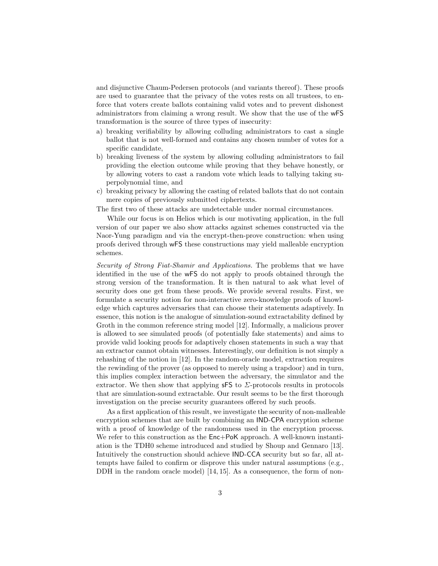and disjunctive Chaum-Pedersen protocols (and variants thereof). These proofs are used to guarantee that the privacy of the votes rests on all trustees, to enforce that voters create ballots containing valid votes and to prevent dishonest administrators from claiming a wrong result. We show that the use of the wFS transformation is the source of three types of insecurity:

- a) breaking verifiability by allowing colluding administrators to cast a single ballot that is not well-formed and contains any chosen number of votes for a specific candidate,
- b) breaking liveness of the system by allowing colluding administrators to fail providing the election outcome while proving that they behave honestly, or by allowing voters to cast a random vote which leads to tallying taking superpolynomial time, and
- c) breaking privacy by allowing the casting of related ballots that do not contain mere copies of previously submitted ciphertexts.

The first two of these attacks are undetectable under normal circumstances.

While our focus is on Helios which is our motivating application, in the full version of our paper we also show attacks against schemes constructed via the Naor-Yung paradigm and via the encrypt-then-prove construction: when using proofs derived through wFS these constructions may yield malleable encryption schemes.

Security of Strong Fiat-Shamir and Applications. The problems that we have identified in the use of the wFS do not apply to proofs obtained through the strong version of the transformation. It is then natural to ask what level of security does one get from these proofs. We provide several results. First, we formulate a security notion for non-interactive zero-knowledge proofs of knowledge which captures adversaries that can choose their statements adaptively. In essence, this notion is the analogue of simulation-sound extractability defined by Groth in the common reference string model [12]. Informally, a malicious prover is allowed to see simulated proofs (of potentially fake statements) and aims to provide valid looking proofs for adaptively chosen statements in such a way that an extractor cannot obtain witnesses. Interestingly, our definition is not simply a rehashing of the notion in [12]. In the random-oracle model, extraction requires the rewinding of the prover (as opposed to merely using a trapdoor) and in turn, this implies complex interaction between the adversary, the simulator and the extractor. We then show that applying  $SFS$  to  $\Sigma$ -protocols results in protocols that are simulation-sound extractable. Our result seems to be the first thorough investigation on the precise security guarantees offered by such proofs.

As a first application of this result, we investigate the security of non-malleable encryption schemes that are built by combining an IND-CPA encryption scheme with a proof of knowledge of the randomness used in the encryption process. We refer to this construction as the  $Enc+PoK$  approach. A well-known instantiation is the TDH0 scheme introduced and studied by Shoup and Gennaro [13]. Intuitively the construction should achieve IND-CCA security but so far, all attempts have failed to confirm or disprove this under natural assumptions (e.g., DDH in the random oracle model) [14, 15]. As a consequence, the form of non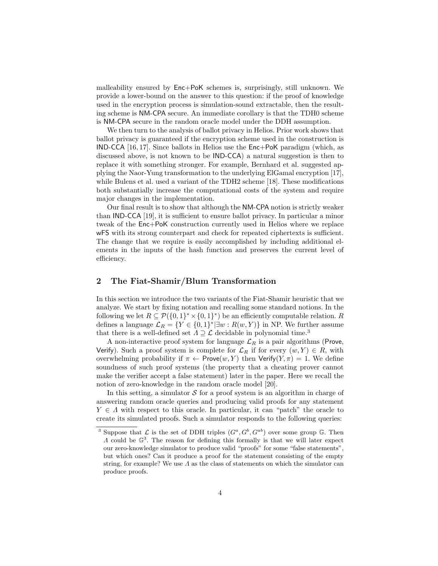malleability ensured by Enc+PoK schemes is, surprisingly, still unknown. We provide a lower-bound on the answer to this question: if the proof of knowledge used in the encryption process is simulation-sound extractable, then the resulting scheme is NM-CPA secure. An immediate corollary is that the TDH0 scheme is NM-CPA secure in the random oracle model under the DDH assumption.

We then turn to the analysis of ballot privacy in Helios. Prior work shows that ballot privacy is guaranteed if the encryption scheme used in the construction is IND-CCA [16, 17]. Since ballots in Helios use the Enc+PoK paradigm (which, as discussed above, is not known to be IND-CCA) a natural suggestion is then to replace it with something stronger. For example, Bernhard et al. suggested applying the Naor-Yung transformation to the underlying ElGamal encryption [17], while Bulens et al. used a variant of the TDH2 scheme [18]. These modifications both substantially increase the computational costs of the system and require major changes in the implementation.

Our final result is to show that although the NM-CPA notion is strictly weaker than IND-CCA [19], it is sufficient to ensure ballot privacy. In particular a minor tweak of the Enc+PoK construction currently used in Helios where we replace wFS with its strong counterpart and check for repeated ciphertexts is sufficient. The change that we require is easily accomplished by including additional elements in the inputs of the hash function and preserves the current level of efficiency.

## 2 The Fiat-Shamir/Blum Transformation

In this section we introduce the two variants of the Fiat-Shamir heuristic that we analyze. We start by fixing notation and recalling some standard notions. In the following we let  $R \subseteq \mathcal{P}(\{0,1\}^* \times \{0,1\}^*)$  be an efficiently computable relation. R defines a language  $\mathcal{L}_R = \{ Y \in \{0,1\}^* | \exists w : R(w,Y) \}$  in NP. We further assume that there is a well-defined set  $\Lambda \supseteq \mathcal{L}$  decidable in polynomial time.<sup>3</sup>

A non-interactive proof system for language  $\mathcal{L}_R$  is a pair algorithms (Prove, Verify). Such a proof system is complete for  $\mathcal{L}_R$  if for every  $(w, Y) \in R$ , with overwhelming probability if  $\pi \leftarrow \text{Prove}(w, Y)$  then  $\text{Verify}(Y, \pi) = 1$ . We define soundness of such proof systems (the property that a cheating prover cannot make the verifier accept a false statement) later in the paper. Here we recall the notion of zero-knowledge in the random oracle model [20].

In this setting, a simulator  $S$  for a proof system is an algorithm in charge of answering random oracle queries and producing valid proofs for any statement  $Y \in \Lambda$  with respect to this oracle. In particular, it can "patch" the oracle to create its simulated proofs. Such a simulator responds to the following queries:

<sup>&</sup>lt;sup>3</sup> Suppose that  $\mathcal L$  is the set of DDH triples  $(G^a, G^b, G^{ab})$  over some group  $\mathbb G$ . Then  $\Lambda$  could be  $\mathbb{G}^3$ . The reason for defining this formally is that we will later expect our zero-knowledge simulator to produce valid "proofs" for some "false statements", but which ones? Can it produce a proof for the statement consisting of the empty string, for example? We use  $\Lambda$  as the class of statements on which the simulator can produce proofs.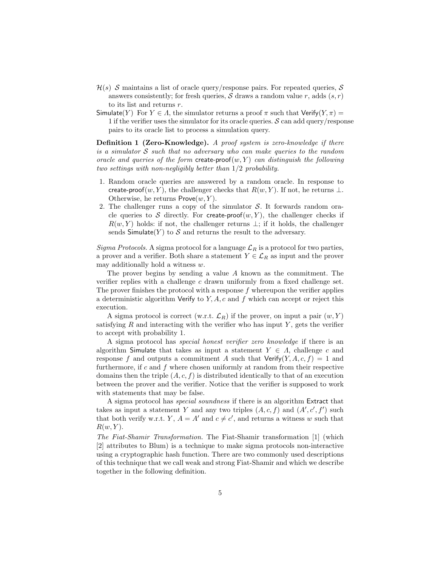- $\mathcal{H}(s)$  S maintains a list of oracle query/response pairs. For repeated queries, S answers consistently; for fresh queries,  $S$  draws a random value r, adds  $(s, r)$ to its list and returns r.
- Simulate(Y) For  $Y \in \Lambda$ , the simulator returns a proof  $\pi$  such that Verify(Y,  $\pi$ ) = 1 if the verifier uses the simulator for its oracle queries.  $S$  can add query/response pairs to its oracle list to process a simulation query.

**Definition 1 (Zero-Knowledge).** A proof system is zero-knowledge if there is a simulator S such that no adversary who can make queries to the random oracle and queries of the form create-proof $(w, Y)$  can distinguish the following two settings with non-negligibly better than 1/2 probability.

- 1. Random oracle queries are answered by a random oracle. In response to create-proof(w, Y), the challenger checks that  $R(w, Y)$ . If not, he returns  $\perp$ . Otherwise, he returns  $Prove(w, Y)$ .
- 2. The challenger runs a copy of the simulator S. It forwards random oracle queries to S directly. For create-proof $(w, Y)$ , the challenger checks if  $R(w, Y)$  holds: if not, the challenger returns  $\perp$ ; if it holds, the challenger sends Simulate(Y) to S and returns the result to the adversary.

Sigma Protocols. A sigma protocol for a language  $\mathcal{L}_R$  is a protocol for two parties, a prover and a verifier. Both share a statement  $Y \in \mathcal{L}_R$  as input and the prover may additionally hold a witness w.

The prover begins by sending a value A known as the commitment. The verifier replies with a challenge  $c$  drawn uniformly from a fixed challenge set. The prover finishes the protocol with a response  $f$  whereupon the verifier applies a deterministic algorithm Verify to  $Y, A, c$  and  $f$  which can accept or reject this execution.

A sigma protocol is correct (w.r.t.  $\mathcal{L}_R$ ) if the prover, on input a pair  $(w, Y)$ satisfying  $R$  and interacting with the verifier who has input  $Y$ , gets the verifier to accept with probability 1.

A sigma protocol has special honest verifier zero knowledge if there is an algorithm Simulate that takes as input a statement  $Y \in \Lambda$ , challenge c and response f and outputs a commitment A such that  $Verify(Y, A, c, f) = 1$  and furthermore, if  $c$  and  $f$  where chosen uniformly at random from their respective domains then the triple  $(A, c, f)$  is distributed identically to that of an execution between the prover and the verifier. Notice that the verifier is supposed to work with statements that may be false.

A sigma protocol has special soundness if there is an algorithm Extract that takes as input a statement Y and any two triples  $(A, c, f)$  and  $(A', c', f')$  such that both verify w.r.t. Y,  $A = A'$  and  $c \neq c'$ , and returns a witness w such that  $R(w, Y)$ .

The Fiat-Shamir Transformation. The Fiat-Shamir transformation [1] (which [2] attributes to Blum) is a technique to make sigma protocols non-interactive using a cryptographic hash function. There are two commonly used descriptions of this technique that we call weak and strong Fiat-Shamir and which we describe together in the following definition.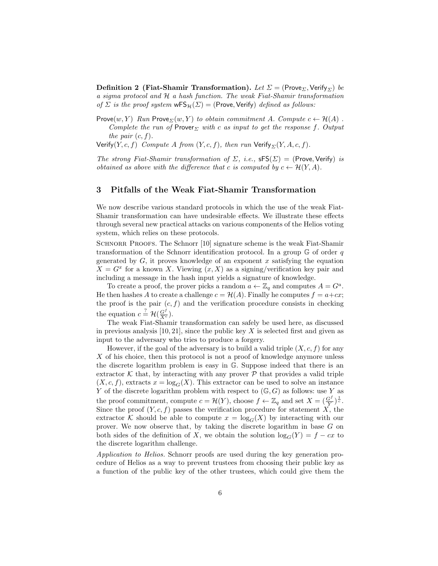**Definition 2 (Fiat-Shamir Transformation).** Let  $\Sigma = (\text{Prove}_{\Sigma}, \text{Verify}_{\Sigma})$  be a sigma protocol and H a hash function. The weak Fiat-Shamir transformation of  $\Sigma$  is the proof system wFS<sub>H</sub>( $\Sigma$ ) = (Prove, Verify) defined as follows:

Prove $(w, Y)$  Run Prove $\overline{\Sigma}(w, Y)$  to obtain commitment A. Compute  $c \leftarrow \mathcal{H}(A)$ . Complete the run of Prover<sub>Σ</sub> with c as input to get the response f. Output the pair  $(c, f)$ .

Verify(Y, c, f) Compute A from  $(Y, c, f)$ , then run Verify  $\sum Y, A, c, f$ ).

The strong Fiat-Shamir transformation of  $\Sigma$ , i.e.,  $\mathsf{SFS}(\Sigma) = (\mathsf{Prove}, \mathsf{Verify})$  is obtained as above with the difference that c is computed by  $c \leftarrow \mathcal{H}(Y, A)$ .

#### 3 Pitfalls of the Weak Fiat-Shamir Transformation

We now describe various standard protocols in which the use of the weak Fiat-Shamir transformation can have undesirable effects. We illustrate these effects through several new practical attacks on various components of the Helios voting system, which relies on these protocols.

SCHNORR PROOFS. The Schnorr [10] signature scheme is the weak Fiat-Shamir transformation of the Schnorr identification protocol. In a group  $\mathbb{G}$  of order q generated by  $G$ , it proves knowledge of an exponent x satisfying the equation  $X = G^x$  for a known X. Viewing  $(x, X)$  as a signing/verification key pair and including a message in the hash input yields a signature of knowledge.

To create a proof, the prover picks a random  $a \leftarrow \mathbb{Z}_q$  and computes  $A = G^a$ . He then hashes A to create a challenge  $c = \mathcal{H}(A)$ . Finally he computes  $f = a + cx$ ; the proof is the pair  $(c, f)$  and the verification procedure consists in checking the equation  $c \stackrel{?}{=} \mathcal{H}(\frac{G^f}{X^c})$ .

The weak Fiat-Shamir transformation can safely be used here, as discussed in previous analysis  $[10, 21]$ , since the public key X is selected first and given as input to the adversary who tries to produce a forgery.

However, if the goal of the adversary is to build a valid triple  $(X, c, f)$  for any  $X$  of his choice, then this protocol is not a proof of knowledge anymore unless the discrete logarithm problem is easy in G. Suppose indeed that there is an extractor  $K$  that, by interacting with any prover  $P$  that provides a valid triple  $(X, c, f)$ , extracts  $x = \log_G(X)$ . This extractor can be used to solve an instance Y of the discrete logarithm problem with respect to  $(\mathbb{G}, G)$  as follows: use Y as the proof commitment, compute  $c = \mathcal{H}(Y)$ , choose  $f \leftarrow \mathbb{Z}_q$  and set  $X = \left(\frac{G^f}{Y}\right)^{\frac{1}{c}}$ . Since the proof  $(Y, c, f)$  passes the verification procedure for statement X, the extractor K should be able to compute  $x = \log_G(X)$  by interacting with our prover. We now observe that, by taking the discrete logarithm in base G on both sides of the definition of X, we obtain the solution  $log_G(Y) = f - cx$  to the discrete logarithm challenge.

Application to Helios. Schnorr proofs are used during the key generation procedure of Helios as a way to prevent trustees from choosing their public key as a function of the public key of the other trustees, which could give them the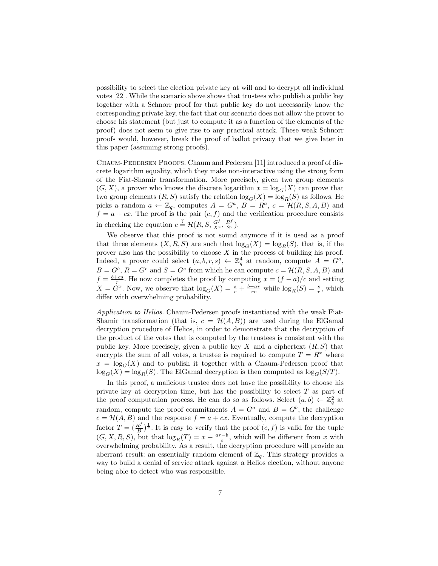possibility to select the election private key at will and to decrypt all individual votes [22]. While the scenario above shows that trustees who publish a public key together with a Schnorr proof for that public key do not necessarily know the corresponding private key, the fact that our scenario does not allow the prover to choose his statement (but just to compute it as a function of the elements of the proof) does not seem to give rise to any practical attack. These weak Schnorr proofs would, however, break the proof of ballot privacy that we give later in this paper (assuming strong proofs).

Chaum-Pedersen Proofs. Chaum and Pedersen [11] introduced a proof of discrete logarithm equality, which they make non-interactive using the strong form of the Fiat-Shamir transformation. More precisely, given two group elements  $(G, X)$ , a prover who knows the discrete logarithm  $x = \log_G(X)$  can prove that two group elements  $(R, S)$  satisfy the relation  $\log_G(X) = \log_R(S)$  as follows. He picks a random  $a \leftarrow \mathbb{Z}_q$ , computes  $A = G^a$ ,  $B = R^a$ ,  $c = \mathcal{H}(R, S, A, B)$  and  $f = a + cx$ . The proof is the pair  $(c, f)$  and the verification procedure consists in checking the equation  $c = \mathcal{H}(R, S, \frac{G^f}{X^c}, \frac{R^f}{S^c})$ .

We observe that this proof is not sound anymore if it is used as a proof that three elements  $(X, R, S)$  are such that  $\log_G(X) = \log_R(S)$ , that is, if the prover also has the possibility to choose  $X$  in the process of building his proof. Indeed, a prover could select  $(a, b, r, s) \leftarrow \mathbb{Z}_q^4$  at random, compute  $A = G^a$ ,  $B = G^b$ ,  $R = G^r$  and  $S = G^s$  from which he can compute  $c = \mathcal{H}(R, S, A, B)$  and  $f = \frac{b+cs}{r}$ . He now completes the proof by computing  $x = (f - a)/c$  and setting  $X = G^x$ . Now, we observe that  $\log_G(X) = \frac{s}{r} + \frac{b-ar}{rc}$  while  $\log_R(S) = \frac{s}{r}$ , which differ with overwhelming probability.

Application to Helios. Chaum-Pedersen proofs instantiated with the weak Fiat-Shamir transformation (that is,  $c = \mathcal{H}(A, B)$ ) are used during the ElGamal decryption procedure of Helios, in order to demonstrate that the decryption of the product of the votes that is computed by the trustees is consistent with the public key. More precisely, given a public key X and a ciphertext  $(R, S)$  that encrypts the sum of all votes, a trustee is required to compute  $T = R^x$  where  $x = \log_G(X)$  and to publish it together with a Chaum-Pedersen proof that  $\log_G(X) = \log_R(S)$ . The ElGamal decryption is then computed as  $\log_G(S/T)$ .

In this proof, a malicious trustee does not have the possibility to choose his private key at decryption time, but has the possibility to select  $T$  as part of the proof computation process. He can do so as follows. Select  $(a, b) \leftarrow \mathbb{Z}_q^2$  at random, compute the proof commitments  $A = G^a$  and  $B = G^b$ , the challenge  $c = \mathcal{H}(A, B)$  and the response  $f = a + cx$ . Eventually, compute the decryption factor  $T = (\frac{R^f}{B})^2$  $\frac{R^f}{B}$ )<sup> $\frac{1}{c}$ </sup>. It is easy to verify that the proof  $(c, f)$  is valid for the tuple  $(G, X, R, S)$ , but that  $log_R(T) = x + \frac{ar-b}{c}$ , which will be different from x with overwhelming probability. As a result, the decryption procedure will provide an aberrant result: an essentially random element of  $\mathbb{Z}_q$ . This strategy provides a way to build a denial of service attack against a Helios election, without anyone being able to detect who was responsible.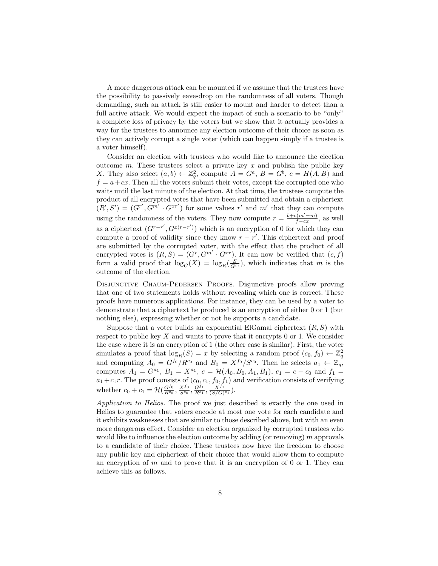A more dangerous attack can be mounted if we assume that the trustees have the possibility to passively eavesdrop on the randomness of all voters. Though demanding, such an attack is still easier to mount and harder to detect than a full active attack. We would expect the impact of such a scenario to be "only" a complete loss of privacy by the voters but we show that it actually provides a way for the trustees to announce any election outcome of their choice as soon as they can actively corrupt a single voter (which can happen simply if a trustee is a voter himself).

Consider an election with trustees who would like to announce the election outcome  $m$ . These trustees select a private key  $x$  and publish the public key X. They also select  $(a, b) \leftarrow \mathbb{Z}_q^2$ , compute  $A = G^a$ ,  $B = G^b$ ,  $c = H(A, B)$  and  $f = a + cx$ . Then all the voters submit their votes, except the corrupted one who waits until the last minute of the election. At that time, the trustees compute the product of all encrypted votes that have been submitted and obtain a ciphertext  $(R', S') = (G^{r'}, G^{m'} \cdot G^{xr'})$  for some values r' and m' that they can compute using the randomness of the voters. They now compute  $r = \frac{b+c(m'-m)}{f-cm}$  $\frac{c(m-m)}{f-cx}$ , as well as a ciphertext  $(G^{r-r'}, G^{x(r-r')})$  which is an encryption of 0 for which they can compute a proof of validity since they know  $r - r'$ . This ciphertext and proof are submitted by the corrupted voter, with the effect that the product of all encrypted votes is  $(R, S) = (G^r, G^{m'} \cdot G^{xr})$ . It can now be verified that  $(c, f)$ form a valid proof that  $\log_G(X) = \log_R(\frac{S}{G^m})$ , which indicates that m is the outcome of the election.

Disjunctive Chaum-Pedersen Proofs. Disjunctive proofs allow proving that one of two statements holds without revealing which one is correct. These proofs have numerous applications. For instance, they can be used by a voter to demonstrate that a ciphertext he produced is an encryption of either 0 or 1 (but nothing else), expressing whether or not he supports a candidate.

Suppose that a voter builds an exponential ElGamal ciphertext  $(R, S)$  with respect to public key  $X$  and wants to prove that it encrypts 0 or 1. We consider the case where it is an encryption of 1 (the other case is similar). First, the voter simulates a proof that  $\log_R(S) = x$  by selecting a random proof  $(c_0, f_0) \leftarrow \mathbb{Z}_q^2$ and computing  $A_0 = G^{f_0}/R^{c_0}$  and  $B_0 = X^{f_0}/S^{c_0}$ . Then he selects  $a_1 \leftarrow \mathbb{Z}_q$ , computes  $A_1 = G^{a_1}, B_1 = X^{a_1}, c = \mathcal{H}(A_0, B_0, A_1, B_1), c_1 = c - c_0$  and  $f_1 =$  $a_1+c_1r$ . The proof consists of  $(c_0, c_1, f_0, f_1)$  and verification consists of verifying whether  $c_0 + c_1 = \mathcal{H}(\frac{G^{f_0}}{R^{c_0}}, \frac{X^{f_0}}{S^{c_0}}, \frac{G^{f_1}}{R^{c_1}}, \frac{X^{f_1}}{(S/G)^{c_1}}).$ 

Application to Helios. The proof we just described is exactly the one used in Helios to guarantee that voters encode at most one vote for each candidate and it exhibits weaknesses that are similar to those described above, but with an even more dangerous effect. Consider an election organized by corrupted trustees who would like to influence the election outcome by adding (or removing)  $m$  approvals to a candidate of their choice. These trustees now have the freedom to choose any public key and ciphertext of their choice that would allow them to compute an encryption of  $m$  and to prove that it is an encryption of 0 or 1. They can achieve this as follows.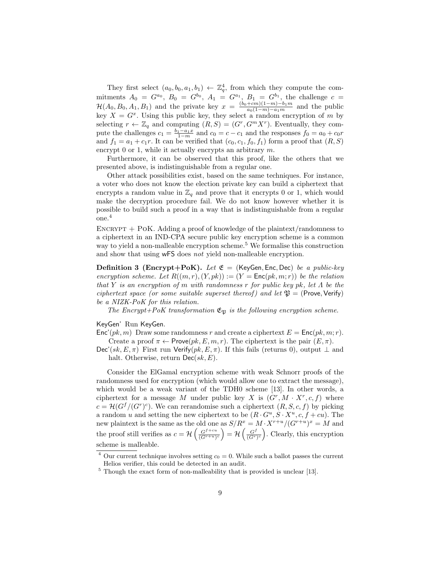They first select  $(a_0, b_0, a_1, b_1) \leftarrow \mathbb{Z}_q^4$ , from which they compute the commitments  $A_0 = G^{a_0}, B_0 = G^{b_0}, A_1 = G^{a_1}, B_1 = G^{b_1}$ , the challenge  $c =$  $\mathcal{H}(A_0, B_0, A_1, B_1)$  and the private key  $x = \frac{(b_0 + cm)(1-m) - b_1m}{a_0(1-m) - a_1m}$  and the public key  $X = G^x$ . Using this public key, they select a random encryption of m by selecting  $r \leftarrow \mathbb{Z}_q$  and computing  $(R, S) = (G^r, G^m X^r)$ . Eventually, they compute the challenges  $c_1 = \frac{b_1 - a_1 x}{1 - m}$  and  $c_0 = c - c_1$  and the responses  $f_0 = a_0 + c_0 r$ and  $f_1 = a_1 + c_1r$ . It can be verified that  $(c_0, c_1, f_0, f_1)$  form a proof that  $(R, S)$ encrypt 0 or 1, while it actually encrypts an arbitrary  $m$ .

Furthermore, it can be observed that this proof, like the others that we presented above, is indistinguishable from a regular one.

Other attack possibilities exist, based on the same techniques. For instance, a voter who does not know the election private key can build a ciphertext that encrypts a random value in  $\mathbb{Z}_q$  and prove that it encrypts 0 or 1, which would make the decryption procedure fail. We do not know however whether it is possible to build such a proof in a way that is indistinguishable from a regular one.<sup>4</sup>

ENCRYPT  $+$  POK. Adding a proof of knowledge of the plaintext/randomness to a ciphertext in an IND-CPA secure public key encryption scheme is a common way to yield a non-malleable encryption scheme.<sup>5</sup> We formalise this construction and show that using wFS does *not* yield non-malleable encryption.

**Definition 3 (Encrypt+PoK).** Let  $\mathfrak{E} =$  (KeyGen, Enc, Dec) be a public-key encryption scheme. Let  $R((m, r), (Y, pk)) := (Y = Enc(pk, m; r))$  be the relation that Y is an encryption of m with randomness r for public key pk, let  $\Lambda$  be the ciphertext space (or some suitable superset thereof) and let  $\mathfrak{P} =$  (Prove, Verify) be a NIZK-PoK for this relation.

The Encrypt+PoK transformation  $\mathfrak{E}_{\mathfrak{P}}$  is the following encryption scheme.

KeyGen' Run KeyGen.

 $Enc(pk, m)$  Draw some randomness r and create a ciphertext  $E = Enc(pk, m; r)$ . Create a proof  $\pi \leftarrow \text{Prove}(pk, E, m, r)$ . The ciphertext is the pair  $(E, \pi)$ .

Dec'(sk, E,  $\pi$ ) First run Verify(pk, E,  $\pi$ ). If this fails (returns 0), output  $\perp$  and halt. Otherwise, return  $Dec(sk, E)$ .

Consider the ElGamal encryption scheme with weak Schnorr proofs of the randomness used for encryption (which would allow one to extract the message), which would be a weak variant of the TDH0 scheme [13]. In other words, a ciphertext for a message M under public key X is  $(G^r, M \cdot X^r, c, f)$  where  $c = \mathcal{H}(G^f/(G^r)^c)$ . We can rerandomise such a ciphertext  $(R, S, c, f)$  by picking a random u and setting the new ciphertext to be  $(R \cdot G^u, S \cdot X^u, c, f + cu)$ . The new plaintext is the same as the old one as  $S/R^x = M \cdot X^{r+u}/(G^{r+u})^x = M$  and the proof still verifies as  $c = \mathcal{H}\left(\frac{G^{f+cu}}{(G^r)^u}\right) = \mathcal{H}\left(\frac{G^f}{(G^r)^c}\right)$ . Clearly, this encryption scheme is malleable.

<sup>&</sup>lt;sup>4</sup> Our current technique involves setting  $c_0 = 0$ . While such a ballot passes the current Helios verifier, this could be detected in an audit.

<sup>&</sup>lt;sup>5</sup> Though the exact form of non-malleability that is provided is unclear [13].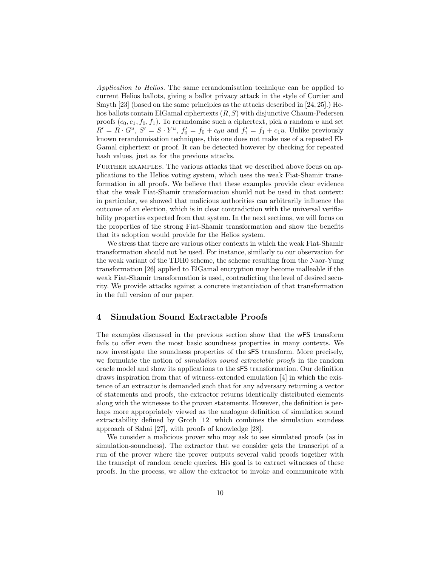Application to Helios. The same rerandomisation technique can be applied to current Helios ballots, giving a ballot privacy attack in the style of Cortier and Smyth [23] (based on the same principles as the attacks described in [24, 25].) Helios ballots contain ElGamal ciphertexts  $(R, S)$  with disjunctive Chaum-Pedersen proofs  $(c_0, c_1, f_0, f_1)$ . To rerandomise such a ciphertext, pick a random u and set  $R' = R \cdot G^u$ ,  $S' = S \cdot Y^u$ ,  $f'_0 = f_0 + c_0 u$  and  $f'_1 = f_1 + c_1 u$ . Unlike previously known rerandomisation techniques, this one does not make use of a repeated El-Gamal ciphertext or proof. It can be detected however by checking for repeated hash values, just as for the previous attacks.

FURTHER EXAMPLES. The various attacks that we described above focus on applications to the Helios voting system, which uses the weak Fiat-Shamir transformation in all proofs. We believe that these examples provide clear evidence that the weak Fiat-Shamir transformation should not be used in that context: in particular, we showed that malicious authorities can arbitrarily influence the outcome of an election, which is in clear contradiction with the universal verifiability properties expected from that system. In the next sections, we will focus on the properties of the strong Fiat-Shamir transformation and show the benefits that its adoption would provide for the Helios system.

We stress that there are various other contexts in which the weak Fiat-Shamir transformation should not be used. For instance, similarly to our observation for the weak variant of the TDH0 scheme, the scheme resulting from the Naor-Yung transformation [26] applied to ElGamal encryption may become malleable if the weak Fiat-Shamir transformation is used, contradicting the level of desired security. We provide attacks against a concrete instantiation of that transformation in the full version of our paper.

#### 4 Simulation Sound Extractable Proofs

The examples discussed in the previous section show that the wFS transform fails to offer even the most basic soundness properties in many contexts. We now investigate the soundness properties of the sFS transform. More precisely, we formulate the notion of *simulation sound extractable proofs* in the random oracle model and show its applications to the sFS transformation. Our definition draws inspiration from that of witness-extended emulation [4] in which the existence of an extractor is demanded such that for any adversary returning a vector of statements and proofs, the extractor returns identically distributed elements along with the witnesses to the proven statements. However, the definition is perhaps more appropriately viewed as the analogue definition of simulation sound extractability defined by Groth [12] which combines the simulation soundess approach of Sahai [27], with proofs of knowledge [28].

We consider a malicious prover who may ask to see simulated proofs (as in simulation-soundness). The extractor that we consider gets the transcript of a run of the prover where the prover outputs several valid proofs together with the transcipt of random oracle queries. His goal is to extract witnesses of these proofs. In the process, we allow the extractor to invoke and communicate with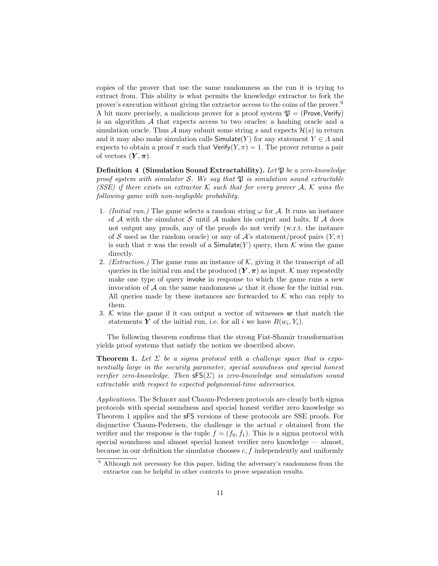copies of the prover that use the same randomness as the run it is trying to extract from. This ability is what permits the knowledge extractor to fork the prover's execution without giving the extractor access to the coins of the prover.<sup>6</sup> A bit more precisely, a malicious prover for a proof system  $\mathfrak{P} =$  (Prove, Verify) is an algorithm A that expects access to two oracles: a hashing oracle and a simulation oracle. Thus A may submit some string s and expects  $\mathcal{H}(s)$  in return and it may also make simulation calls  $Simulate(Y)$  for any statement  $Y \in \Lambda$  and expects to obtain a proof  $\pi$  such that  $Verify(Y, \pi) = 1$ . The prover returns a pair of vectors  $(Y, \pi)$ .

**Definition 4 (Simulation Sound Extractability).** Let  $\mathfrak{P}$  be a zero-knowledge proof system with simulator S. We say that  $\mathfrak{P}$  is simulation sound extractable (SSE) if there exists an extractor  $K$  such that for every prover  $A, K$  wins the following game with non-negligible probability.

- 1. *(Initial run.)* The game selects a random string  $\omega$  for A. It runs an instance of  $A$  with the simulator  $S$  until  $A$  makes his output and halts. If  $A$  does not output any proofs, any of the proofs do not verify (w.r.t. the instance of S used as the random oracle) or any of  $\mathcal{A}$ 's statement/proof pairs  $(Y,\pi)$ is such that  $\pi$  was the result of a **Simulate**(Y) query, then K wins the game directly.
- 2. (Extraction.) The game runs an instance of  $\mathcal{K}$ , giving it the transcript of all queries in the initial run and the produced  $(Y, \pi)$  as input. K may repeatedly make one type of query invoke in response to which the game runs a new invocation of A on the same randomness  $\omega$  that it chose for the initial run. All queries made by these instances are forwarded to  $K$  who can reply to them.
- 3. K wins the game if it can output a vector of witnesses  $w$  that match the statements Y of the initial run, i.e. for all i we have  $R(w_i, Y_i)$ .

The following theorem confirms that the strong Fiat-Shamir transformation yields proof systems that satisfy the notion we described above.

**Theorem 1.** Let  $\Sigma$  be a sigma protocol with a challenge space that is exponentially large in the security parameter, special soundness and special honest verifier zero-knowledge. Then  $S(S)$  is zero-knowledge and simulation sound extractable with respect to expected polynomial-time adversaries.

Applications. The Schnorr and Chaum-Pedersen protocols are clearly both sigma protocols with special soundness and special honest verifier zero knowledge so Theorem 1 applies and the sFS versions of these protocols are SSE proofs. For disjunctive Chaum-Pedersen, the challenge is the actual  $c$  obtained from the verifier and the response is the tuple  $f = (f_0, f_1)$ . This is a sigma protocol with special soundness and almost special honest verifier zero knowledge — almost, because in our definition the simulator chooses  $c, f$  independently and uniformly

 $6$  Although not necessary for this paper, hiding the adversary's randomness from the extractor can be helpful in other contexts to prove separation results.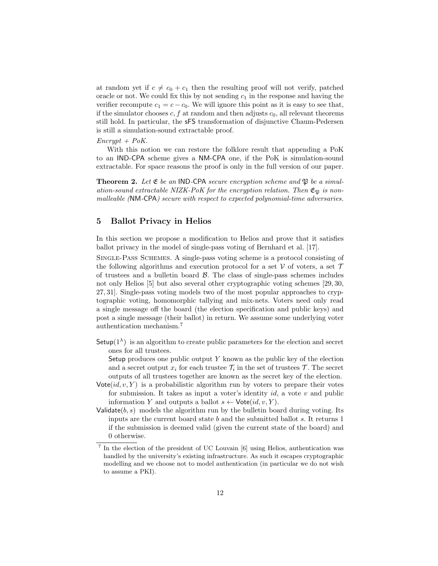at random yet if  $c \neq c_0 + c_1$  then the resulting proof will not verify, patched oracle or not. We could fix this by not sending  $c_1$  in the response and having the verifier recompute  $c_1 = c - c_0$ . We will ignore this point as it is easy to see that, if the simulator chooses  $c, f$  at random and then adjusts  $c_0$ , all relevant theorems still hold. In particular, the sFS transformation of disjunctive Chaum-Pedersen is still a simulation-sound extractable proof.

#### $\textit{Energy} + \textit{PoK}.$

With this notion we can restore the folklore result that appending a PoK to an IND-CPA scheme gives a NM-CPA one, if the PoK is simulation-sound extractable. For space reasons the proof is only in the full version of our paper.

**Theorem 2.** Let  $\mathfrak{E}$  be an IND-CPA secure encryption scheme and  $\mathfrak{P}$  be a simulation-sound extractable NIZK-PoK for the encryption relation. Then  $\mathfrak{E}_{\mathfrak{B}}$  is nonmalleable (NM-CPA) secure with respect to expected polynomial-time adversaries.

## 5 Ballot Privacy in Helios

In this section we propose a modification to Helios and prove that it satisfies ballot privacy in the model of single-pass voting of Bernhard et al. [17].

Single-Pass Schemes. A single-pass voting scheme is a protocol consisting of the following algorithms and execution protocol for a set  $V$  of voters, a set  $T$ of trustees and a bulletin board  $\beta$ . The class of single-pass schemes includes not only Helios [5] but also several other cryptographic voting schemes [29, 30, 27, 31]. Single-pass voting models two of the most popular approaches to cryptographic voting, homomorphic tallying and mix-nets. Voters need only read a single message off the board (the election specification and public keys) and post a single message (their ballot) in return. We assume some underlying voter authentication mechanism.<sup>7</sup>

Setup( $1^{\lambda}$ ) is an algorithm to create public parameters for the election and secret ones for all trustees.

Setup produces one public output  $Y$  known as the public key of the election and a secret output  $x_i$  for each trustee  $\mathcal{T}_i$  in the set of trustees  $\mathcal{T}$ . The secret outputs of all trustees together are known as the secret key of the election.

- Vote(id, v, Y) is a probabilistic algorithm run by voters to prepare their votes for submission. It takes as input a voter's identity  $id$ , a vote  $v$  and public information Y and outputs a ballot  $s \leftarrow \text{Vote}(id, v, Y)$ .
- Validate( $b, s$ ) models the algorithm run by the bulletin board during voting. Its inputs are the current board state b and the submitted ballot s. It returns 1 if the submission is deemed valid (given the current state of the board) and 0 otherwise.

<sup>7</sup> In the election of the president of UC Louvain [6] using Helios, authentication was handled by the university's existing infrastructure. As such it escapes cryptographic modelling and we choose not to model authentication (in particular we do not wish to assume a PKI).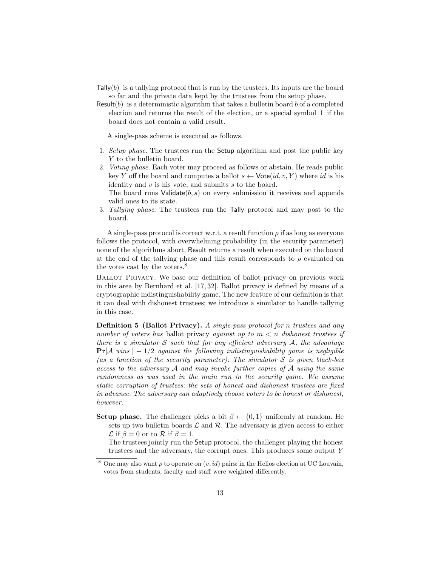- $\text{Tally}(b)$  is a tallying protocol that is run by the trustees. Its inputs are the board so far and the private data kept by the trustees from the setup phase.
- Result(b) is a deterministic algorithm that takes a bulletin board b of a completed election and returns the result of the election, or a special symbol  $\perp$  if the board does not contain a valid result.

A single-pass scheme is executed as follows.

- 1. Setup phase. The trustees run the Setup algorithm and post the public key Y to the bulletin board.
- 2. Voting phase. Each voter may proceed as follows or abstain. He reads public key Y off the board and computes a ballot  $s \leftarrow \text{Vote}(id, v, Y)$  where id is his identity and  $v$  is his vote, and submits  $s$  to the board.
	- The board runs  $Valiate(b, s)$  on every submission it receives and appends valid ones to its state.
- 3. Tallying phase. The trustees run the Tally protocol and may post to the board.

A single-pass protocol is correct w.r.t. a result function  $\rho$  if as long as everyone follows the protocol, with overwhelming probability (in the security parameter) none of the algorithms abort, Result returns a result when executed on the board at the end of the tallying phase and this result corresponds to  $\rho$  evaluated on the votes cast by the voters.<sup>8</sup>

Ballot Privacy. We base our definition of ballot privacy on previous work in this area by Bernhard et al. [17, 32]. Ballot privacy is defined by means of a cryptographic indistinguishability game. The new feature of our definition is that it can deal with dishonest trustees; we introduce a simulator to handle tallying in this case.

Definition 5 (Ballot Privacy). A single-pass protocol for n trustees and any number of voters has ballot privacy against up to  $m < n$  dishonest trustees if there is a simulator  $S$  such that for any efficient adversary  $A$ , the advantage  $Pr[\mathcal{A} \text{ wins } ] - 1/2 \text{ against the following indistinguishability game is negligible}$ (as a function of the security parameter). The simulator  $S$  is given black-box access to the adversary  $A$  and may invoke further copies of  $A$  using the same randomness as was used in the main run in the security game. We assume static corruption of trustees: the sets of honest and dishonest trustees are fixed in advance. The adversary can adaptively choose voters to be honest or dishonest, however.

**Setup phase.** The challenger picks a bit  $\beta \leftarrow \{0, 1\}$  uniformly at random. He sets up two bulletin boards  $\mathcal L$  and  $\mathcal R$ . The adversary is given access to either  $\mathcal L$  if  $\beta = 0$  or to  $\mathcal R$  if  $\beta = 1$ .

The trustees jointly run the Setup protocol, the challenger playing the honest trustees and the adversary, the corrupt ones. This produces some output Y

<sup>&</sup>lt;sup>8</sup> One may also want  $\rho$  to operate on  $(v, id)$  pairs: in the Helios election at UC Louvain, votes from students, faculty and staff were weighted differently.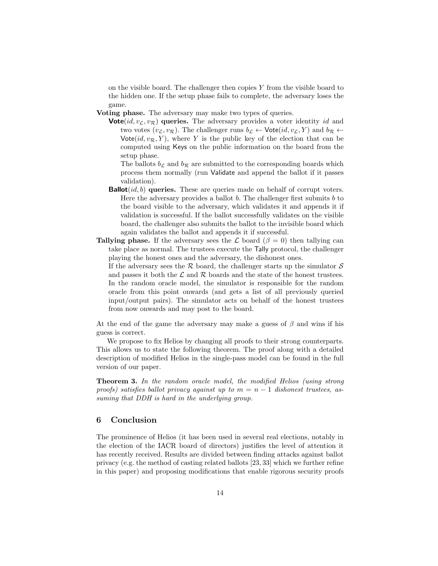on the visible board. The challenger then copies  $Y$  from the visible board to the hidden one. If the setup phase fails to complete, the adversary loses the game.

- Voting phase. The adversary may make two types of queries.
	- **Vote**(id,  $v_{\mathcal{L}}$ ,  $v_{\mathcal{R}}$ ) queries. The adversary provides a voter identity id and two votes  $(v_{\mathcal{L}}, v_{\mathcal{R}})$ . The challenger runs  $b_{\mathcal{L}} \leftarrow \text{Vote}(id, v_{\mathcal{L}}, Y)$  and  $b_{\mathcal{R}} \leftarrow$ Vote(id,  $v_R$ , Y), where Y is the public key of the election that can be computed using Keys on the public information on the board from the setup phase.

The ballots  $b_{\mathcal{L}}$  and  $b_{\mathcal{R}}$  are submitted to the corresponding boards which process them normally (run Validate and append the ballot if it passes validation).

- **Ballot** $(id, b)$  queries. These are queries made on behalf of corrupt voters. Here the adversary provides a ballot  $b$ . The challenger first submits  $b$  to the board visible to the adversary, which validates it and appends it if validation is successful. If the ballot successfully validates on the visible board, the challenger also submits the ballot to the invisible board which again validates the ballot and appends it if successful.
- **Tallying phase.** If the adversary sees the  $\mathcal{L}$  board ( $\beta = 0$ ) then tallying can take place as normal. The trustees execute the Tally protocol, the challenger playing the honest ones and the adversary, the dishonest ones.

If the adversary sees the  $R$  board, the challenger starts up the simulator  $S$ and passes it both the  $\mathcal L$  and  $\mathcal R$  boards and the state of the honest trustees. In the random oracle model, the simulator is responsible for the random oracle from this point onwards (and gets a list of all previously queried input/output pairs). The simulator acts on behalf of the honest trustees from now onwards and may post to the board.

At the end of the game the adversary may make a guess of  $\beta$  and wins if his guess is correct.

We propose to fix Helios by changing all proofs to their strong counterparts. This allows us to state the following theorem. The proof along with a detailed description of modified Helios in the single-pass model can be found in the full version of our paper.

Theorem 3. In the random oracle model, the modified Helios (using strong proofs) satisfies ballot privacy against up to  $m = n - 1$  dishonest trustees, assuming that DDH is hard in the underlying group.

## 6 Conclusion

The prominence of Helios (it has been used in several real elections, notably in the election of the IACR board of directors) justifies the level of attention it has recently received. Results are divided between finding attacks against ballot privacy (e.g. the method of casting related ballots [23, 33] which we further refine in this paper) and proposing modifications that enable rigorous security proofs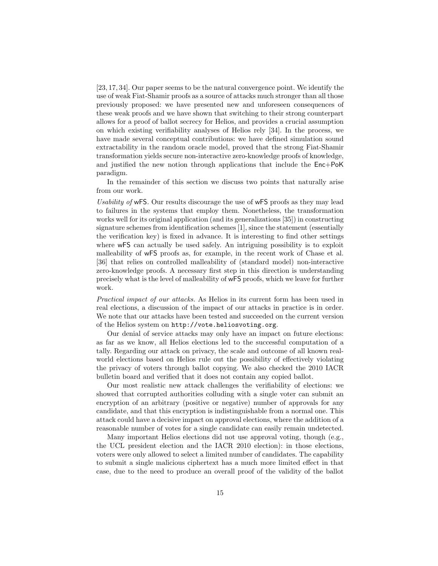[23, 17, 34]. Our paper seems to be the natural convergence point. We identify the use of weak Fiat-Shamir proofs as a source of attacks much stronger than all those previously proposed: we have presented new and unforeseen consequences of these weak proofs and we have shown that switching to their strong counterpart allows for a proof of ballot secrecy for Helios, and provides a crucial assumption on which existing verifiability analyses of Helios rely [34]. In the process, we have made several conceptual contributions: we have defined simulation sound extractability in the random oracle model, proved that the strong Fiat-Shamir transformation yields secure non-interactive zero-knowledge proofs of knowledge, and justified the new notion through applications that include the Enc+PoK paradigm.

In the remainder of this section we discuss two points that naturally arise from our work.

Usability of wFS. Our results discourage the use of wFS proofs as they may lead to failures in the systems that employ them. Nonetheless, the transformation works well for its original application (and its generalizations [35]) in constructing signature schemes from identification schemes [1], since the statement (essentially the verification key) is fixed in advance. It is interesting to find other settings where wFS can actually be used safely. An intriguing possibility is to exploit malleability of wFS proofs as, for example, in the recent work of Chase et al. [36] that relies on controlled malleability of (standard model) non-interactive zero-knowledge proofs. A necessary first step in this direction is understanding precisely what is the level of malleability of wFS proofs, which we leave for further work.

Practical impact of our attacks. As Helios in its current form has been used in real elections, a discussion of the impact of our attacks in practice is in order. We note that our attacks have been tested and succeeded on the current version of the Helios system on http://vote.heliosvoting.org.

Our denial of service attacks may only have an impact on future elections: as far as we know, all Helios elections led to the successful computation of a tally. Regarding our attack on privacy, the scale and outcome of all known realworld elections based on Helios rule out the possibility of effectively violating the privacy of voters through ballot copying. We also checked the 2010 IACR bulletin board and verified that it does not contain any copied ballot.

Our most realistic new attack challenges the verifiability of elections: we showed that corrupted authorities colluding with a single voter can submit an encryption of an arbitrary (positive or negative) number of approvals for any candidate, and that this encryption is indistinguishable from a normal one. This attack could have a decisive impact on approval elections, where the addition of a reasonable number of votes for a single candidate can easily remain undetected.

Many important Helios elections did not use approval voting, though (e.g., the UCL president election and the IACR 2010 election): in those elections, voters were only allowed to select a limited number of candidates. The capability to submit a single malicious ciphertext has a much more limited effect in that case, due to the need to produce an overall proof of the validity of the ballot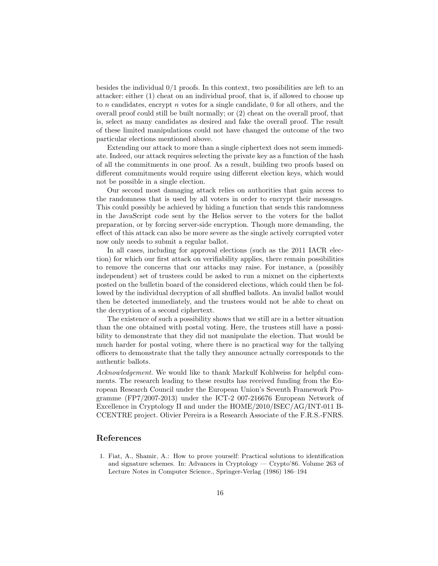besides the individual  $0/1$  proofs. In this context, two possibilities are left to an attacker: either (1) cheat on an individual proof, that is, if allowed to choose up to n candidates, encrypt n votes for a single candidate,  $\theta$  for all others, and the overall proof could still be built normally; or (2) cheat on the overall proof, that is, select as many candidates as desired and fake the overall proof. The result of these limited manipulations could not have changed the outcome of the two particular elections mentioned above.

Extending our attack to more than a single ciphertext does not seem immediate. Indeed, our attack requires selecting the private key as a function of the hash of all the commitments in one proof. As a result, building two proofs based on different commitments would require using different election keys, which would not be possible in a single election.

Our second most damaging attack relies on authorities that gain access to the randomness that is used by all voters in order to encrypt their messages. This could possibly be achieved by hiding a function that sends this randomness in the JavaScript code sent by the Helios server to the voters for the ballot preparation, or by forcing server-side encryption. Though more demanding, the effect of this attack can also be more severe as the single actively corrupted voter now only needs to submit a regular ballot.

In all cases, including for approval elections (such as the 2011 IACR election) for which our first attack on verifiability applies, there remain possibilities to remove the concerns that our attacks may raise. For instance, a (possibly independent) set of trustees could be asked to run a mixnet on the ciphertexts posted on the bulletin board of the considered elections, which could then be followed by the individual decryption of all shuffled ballots. An invalid ballot would then be detected immediately, and the trustees would not be able to cheat on the decryption of a second ciphertext.

The existence of such a possibility shows that we still are in a better situation than the one obtained with postal voting. Here, the trustees still have a possibility to demonstrate that they did not manipulate the election. That would be much harder for postal voting, where there is no practical way for the tallying officers to demonstrate that the tally they announce actually corresponds to the authentic ballots.

Acknowledgement. We would like to thank Markulf Kohlweiss for helpful comments. The research leading to these results has received funding from the European Research Council under the European Union's Seventh Framework Programme (FP7/2007-2013) under the ICT-2 007-216676 European Network of Excellence in Cryptology II and under the HOME/2010/ISEC/AG/INT-011 B-CCENTRE project. Olivier Pereira is a Research Associate of the F.R.S.-FNRS.

## References

1. Fiat, A., Shamir, A.: How to prove yourself: Practical solutions to identification and signature schemes. In: Advances in Cryptology — Crypto'86. Volume 263 of Lecture Notes in Computer Science., Springer-Verlag (1986) 186–194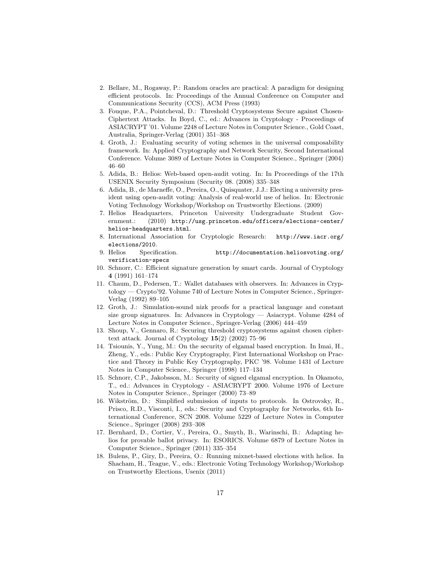- 2. Bellare, M., Rogaway, P.: Random oracles are practical: A paradigm for designing efficient protocols. In: Proceedings of the Annual Conference on Computer and Communications Security (CCS), ACM Press (1993)
- 3. Fouque, P.A., Pointcheval, D.: Threshold Cryptosystems Secure against Chosen-Ciphertext Attacks. In Boyd, C., ed.: Advances in Cryptology - Proceedings of ASIACRYPT '01. Volume 2248 of Lecture Notes in Computer Science., Gold Coast, Australia, Springer-Verlag (2001) 351–368
- 4. Groth, J.: Evaluating security of voting schemes in the universal composability framework. In: Applied Cryptography and Network Security, Second International Conference. Volume 3089 of Lecture Notes in Computer Science., Springer (2004) 46–60
- 5. Adida, B.: Helios: Web-based open-audit voting. In: In Proceedings of the 17th USENIX Security Symposium (Security 08. (2008) 335–348
- 6. Adida, B., de Marneffe, O., Pereira, O., Quisquater, J.J.: Electing a university president using open-audit voting: Analysis of real-world use of helios. In: Electronic Voting Technology Workshop/Workshop on Trustworthy Elections. (2009)
- 7. Helios Headquarters, Princeton University Undergraduate Student Government.: (2010) http://usg.princeton.edu/officers/elections-center/ helios-headquarters.html.
- 8. International Association for Cryptologic Research: http://www.iacr.org/ elections/2010.
- 9. Helios Specification. http://documentation.heliosvoting.org/ verification-specs
- 10. Schnorr, C.: Efficient signature generation by smart cards. Journal of Cryptology 4 (1991) 161–174
- 11. Chaum, D., Pedersen, T.: Wallet databases with observers. In: Advances in Cryptology — Crypto'92. Volume 740 of Lecture Notes in Computer Science., Springer-Verlag (1992) 89–105
- 12. Groth, J.: Simulation-sound nizk proofs for a practical language and constant size group signatures. In: Advances in Cryptology — Asiacrypt. Volume 4284 of Lecture Notes in Computer Science., Springer-Verlag (2006) 444–459
- 13. Shoup, V., Gennaro, R.: Securing threshold cryptosystems against chosen ciphertext attack. Journal of Cryptology 15(2) (2002) 75–96
- 14. Tsiounis, Y., Yung, M.: On the security of elgamal based encryption. In Imai, H., Zheng, Y., eds.: Public Key Cryptography, First International Workshop on Practice and Theory in Public Key Cryptography, PKC '98. Volume 1431 of Lecture Notes in Computer Science., Springer (1998) 117–134
- 15. Schnorr, C.P., Jakobsson, M.: Security of signed elgamal encryption. In Okamoto, T., ed.: Advances in Cryptology - ASIACRYPT 2000. Volume 1976 of Lecture Notes in Computer Science., Springer (2000) 73–89
- 16. Wikström, D.: Simplified submission of inputs to protocols. In Ostrovsky, R., Prisco, R.D., Visconti, I., eds.: Security and Cryptography for Networks, 6th International Conference, SCN 2008. Volume 5229 of Lecture Notes in Computer Science., Springer (2008) 293–308
- 17. Bernhard, D., Cortier, V., Pereira, O., Smyth, B., Warinschi, B.: Adapting helios for provable ballot privacy. In: ESORICS. Volume 6879 of Lecture Notes in Computer Science., Springer (2011) 335–354
- 18. Bulens, P., Giry, D., Pereira, O.: Running mixnet-based elections with helios. In Shacham, H., Teague, V., eds.: Electronic Voting Technology Workshop/Workshop on Trustworthy Elections, Usenix (2011)